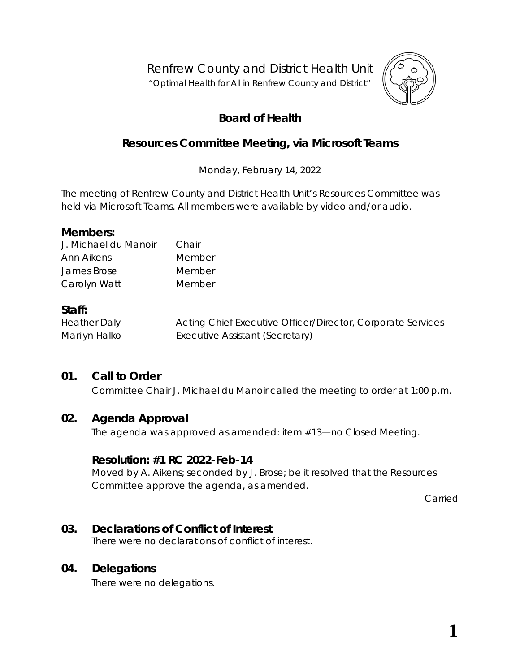Renfrew County and District Health Unit

"*Optimal Health for All in Renfrew County and District"*



# **Board of Health**

# **Resources Committee Meeting, via** *Microsoft Teams*

Monday, February 14, 2022

The meeting of Renfrew County and District Health Unit's Resources Committee was held via *Microsoft Teams*. All members were available by video and/or audio.

#### **Members:**

| J. Michael du Manoir | Chair  |
|----------------------|--------|
| Ann Aikens           | Member |
| James Brose          | Member |
| Carolyn Watt         | Member |

#### **Staff:**

| <b>Heather Daly</b> | Acting Chief Executive Officer/Director, Corporate Services |
|---------------------|-------------------------------------------------------------|
| Marilyn Halko       | Executive Assistant (Secretary)                             |

## **01. Call to Order**

Committee Chair J. Michael du Manoir called the meeting to order at 1:00 p.m.

#### **02. Agenda Approval**

The agenda was approved as amended: item #13—no Closed Meeting.

#### **Resolution: #1 RC 2022-Feb-14**

Moved by A. Aikens; seconded by J. Brose; be it resolved that the Resources Committee approve the agenda, as amended.

Carried

#### **03. Declarations of Conflict of Interest**

There were no declarations of conflict of interest.

#### **04. Delegations**

There were no delegations.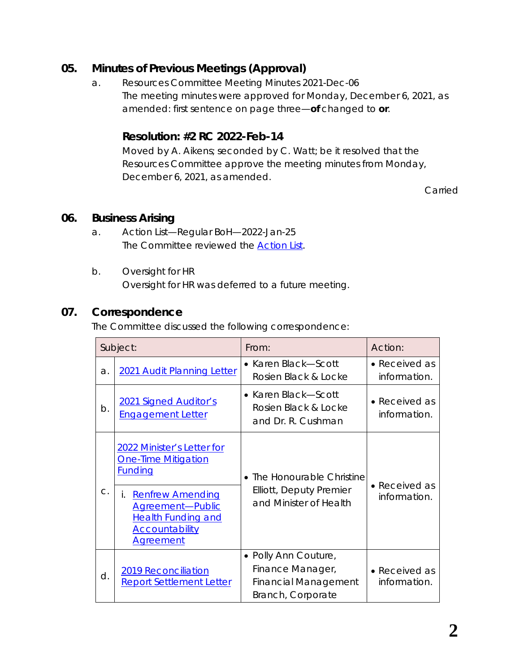## **05. Minutes of Previous Meetings (Approval)**

a. Resources Committee Meeting Minutes 2021-Dec-06 The meeting minutes were approved for Monday, December 6, 2021, as amended: first sentence on page three—**of** changed to **or**.

## **Resolution: #2 RC 2022-Feb-14**

Moved by A. Aikens; seconded by C. Watt; be it resolved that the Resources Committee approve the meeting minutes from Monday, December 6, 2021, as amended.

Carried

#### **06. Business Arising**

- a. Action List—Regular BoH—2022-Jan-25 The Committee reviewed the *[Action List](https://www.rcdhu.com/wp-content/uploads/2022/03/06.-a.-Action-List-from-the-Regular-Board-Meeting-2022-Jan-25.pdf)*.
- b. Oversight for HR Oversight for HR was deferred to a future meeting.

#### **07. Correspondence**

The Committee discussed the following correspondence:

|               | Subject:                                                                                                                    | From:                                                                                        | Action:                               |
|---------------|-----------------------------------------------------------------------------------------------------------------------------|----------------------------------------------------------------------------------------------|---------------------------------------|
| a.            | 2021 Audit Planning Letter                                                                                                  | • Karen Black-Scott<br>Rosien Black & Locke                                                  | • Received as<br>information.         |
| b.            | <b>2021 Signed Auditor's</b><br><b>Engagement Letter</b>                                                                    | • Karen Black—Scott<br>Rosien Black & Locke<br>and Dr. R. Cushman                            | $\bullet$ Received as<br>information. |
|               | 2022 Minister's Letter for<br><b>One-Time Mitigation</b><br><u>Funding</u>                                                  | • The Honourable Christine<br>Elliott, Deputy Premier<br>and Minister of Health              | $\bullet$ Received as                 |
| $\mathsf{C}.$ | <b>Renfrew Amending</b><br>İ.<br>Agreement-Public<br><b>Health Funding and</b><br><b>Accountability</b><br><b>Agreement</b> |                                                                                              | information.                          |
| d.            | <b>2019 Reconciliation</b><br><b>Report Settlement Letter</b>                                                               | • Polly Ann Couture,<br>Finance Manager,<br><b>Financial Management</b><br>Branch, Corporate | • Received as<br>information.         |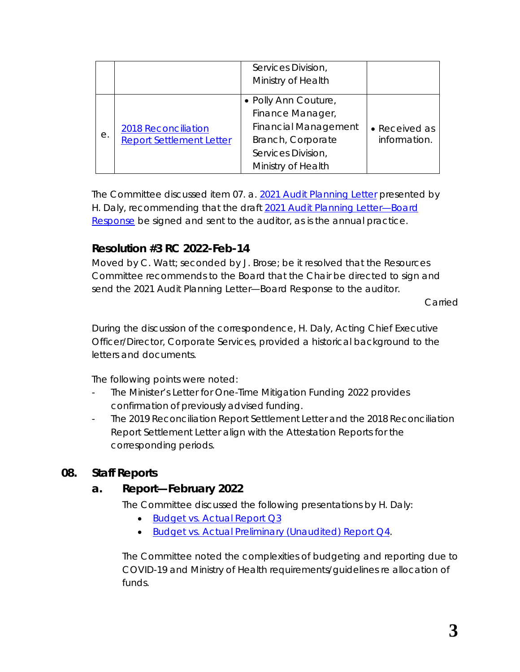|    |                                                               | Services Division,<br>Ministry of Health                                                                                                 |                               |
|----|---------------------------------------------------------------|------------------------------------------------------------------------------------------------------------------------------------------|-------------------------------|
| е. | <b>2018 Reconciliation</b><br><b>Report Settlement Letter</b> | · Polly Ann Couture,<br>Finance Manager,<br><b>Financial Management</b><br>Branch, Corporate<br>Services Division,<br>Ministry of Health | • Received as<br>information. |

The Committee discussed item 07. a. *[2021 Audit Planning Letter](https://www.rcdhu.com/wp-content/uploads/2022/03/07.-a.-2021-Audit-Planning-Letter.pdf)* presented by H. Daly, recommending that the draft *[2021 Audit Planning Letter—Board](https://www.rcdhu.com/wp-content/uploads/2022/03/07.-a.-i.-Board-response-Audit-Planning-letter-2021.pdf)  [Response](https://www.rcdhu.com/wp-content/uploads/2022/03/07.-a.-i.-Board-response-Audit-Planning-letter-2021.pdf)* be signed and sent to the auditor, as is the annual practice.

# **Resolution #3 RC 2022-Feb-14**

Moved by C. Watt; seconded by J. Brose; be it resolved that the Resources Committee recommends to the Board that the Chair be directed to sign and send the *2021 Audit Planning Letter—Board Response* to the auditor.

Carried

During the discussion of the correspondence, H. Daly, Acting Chief Executive Officer/Director, Corporate Services, provided a historical background to the letters and documents.

The following points were noted:

- The Minister's Letter for One-Time Mitigation Funding 2022 provides confirmation of previously advised funding.
- The 2019 Reconciliation Report Settlement Letter and the 2018 Reconciliation Report Settlement Letter align with the Attestation Reports for the corresponding periods.

## **08. Staff Reports**

## **a. Report—February 2022**

The Committee discussed the following presentations by H. Daly:

- *[Budget vs. Actual Report Q3](https://www.rcdhu.com/wp-content/uploads/2022/03/08.-a.-i.-Budget-vs-Actual-Report-Q3.pdf)*
- *[Budget vs. Actual Preliminary \(Unaudited\) Report Q4](https://www.rcdhu.com/wp-content/uploads/2022/03/08.-a.-ii.-Budget-vs-Actual-Preliminary-Unaudited-Report-Q4.pdf)*.

The Committee noted the complexities of budgeting and reporting due to COVID-19 and Ministry of Health requirements/guidelines re allocation of funds.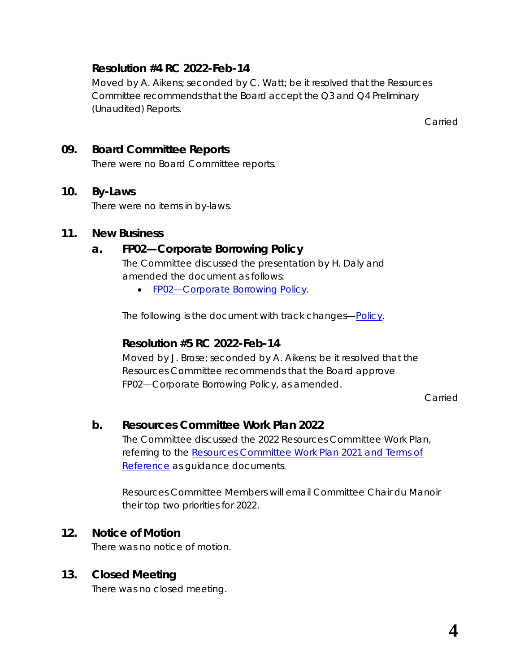## **Resolution #4 RC 2022-Feb-14**

Moved by A. Aikens; seconded by C. Watt; be it resolved that the Resources Committee recommends that the Board accept the Q3 and Q4 Preliminary (Unaudited) Reports.

Carried

## **09. Board Committee Reports**

There were no Board Committee reports.

#### **10. By-Laws**

There were no items in by-laws.

#### **11. New Business**

# **a. FP02—Corporate Borrowing Policy**

The Committee discussed the presentation by H. Daly and amended the document as follows:

• *[FP02—Corporate Borrowing Policy](https://www.rcdhu.com/wp-content/uploads/2022/03/FP02-Corporate-Borrowing-Policy-REVISED.pdf)*.

The following is the document with track changes—*[Policy](https://www.rcdhu.com/wp-content/uploads/2022/03/11.-a.-i.-FP02-Corporate-Borrowing-Policy-with-track-changes.pdf)*.

#### **Resolution #5 RC 2022-Feb-14**

Moved by J. Brose; seconded by A. Aikens; be it resolved that the Resources Committee recommends that the Board approve FP02—Corporate Borrowing Policy, as amended.

Carried

## **b. Resources Committee Work Plan 2022**

The Committee discussed the 2022 Resources Committee Work Plan, referring to the *[Resources Committee Work Plan 2021](https://www.rcdhu.com/wp-content/uploads/2022/03/11.-c.-Resources-Committee-Work-Plan.pdf)* and *Terms of [Reference](https://www.rcdhu.com/wp-content/uploads/2022/03/11.-c.-Resources-Committee-Work-Plan.pdf)* as guidance documents.

Resources Committee Members will email Committee Chair du Manoir their top two priorities for 2022.

## **12. Notice of Motion**

There was no notice of motion.

## **13. Closed Meeting**

There was no closed meeting.